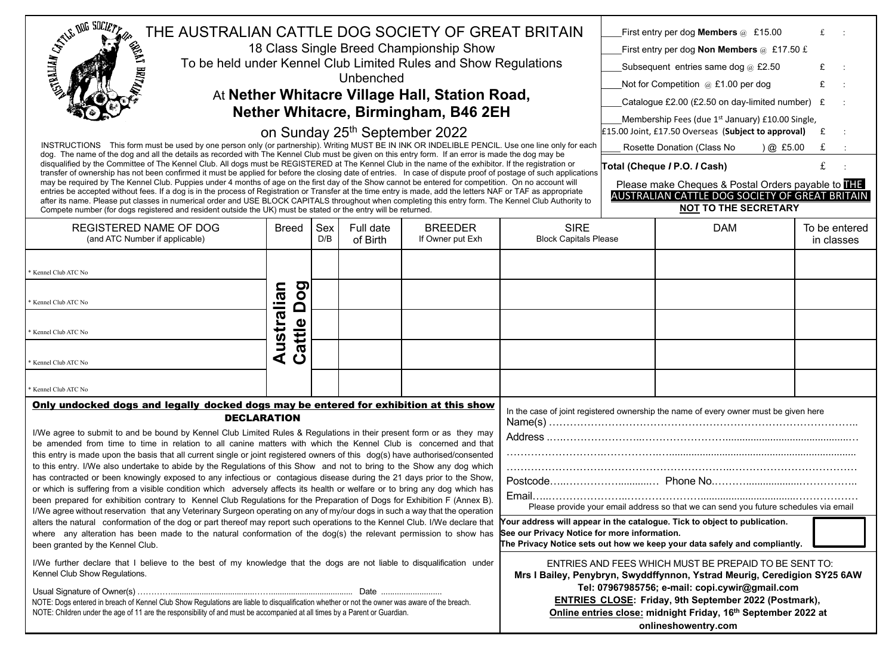| <b>CALLES DUE SOCIETY</b><br>THE AUSTRALIAN CATTLE DOG SOCIETY OF GREAT BRITAIN<br>18 Class Single Breed Championship Show<br>To be held under Kennel Club Limited Rules and Show Regulations<br>Unbenched<br>At Nether Whitacre Village Hall, Station Road,<br>Nether Whitacre, Birmingham, B46 2EH<br>on Sunday 25th September 2022<br>INSTRUCTIONS This form must be used by one person only (or partnership). Writing MUST BE IN INK OR INDELIBLE PENCIL. Use one line only for each<br>dog. The name of the dog and all the details as recorded with The Kennel Club must be given on this entry form. If an error is made the dog may be<br>disqualified by the Committee of The Kennel Club. All dogs must be REGISTERED at The Kennel Club in the name of the exhibitor. If the registration or<br>transfer of ownership has not been confirmed it must be applied for before the closing date of entries. In case of dispute proof of postage of such applications<br>may be required by The Kennel Club. Puppies under 4 months of age on the first day of the Show cannot be entered for competition. On no account will<br>entries be accepted without fees. If a dog is in the process of Registration or Transfer at the time entry is made, add the letters NAF or TAF as appropriate<br>after its name. Please put classes in numerical order and USE BLOCK CAPITALS throughout when completing this entry form. The Kennel Club Authority to<br>Compete number (for dogs registered and resident outside the UK) must be stated or the entry will be returned. |                                                                                                                                                                                                                                                                                                                                                         |            |                                                                                      |                                    |                                                                                                                                                                                                                                                                                                |  | First entry per dog Members @ £15.00<br>First entry per dog <b>Non Members</b> @ £17.50 £<br>Subsequent entries same dog $@$ £2.50<br>Not for Competition $@E1.00$ per dog<br>Catalogue £2.00 (£2.50 on day-limited number) £<br>Membership Fees (due 1 <sup>st</sup> January) £10.00 Single,<br>£15.00 Joint, £17.50 Overseas (Subject to approval)<br>Rosette Donation (Class No<br>) @ E5.00<br>Total (Cheque / P.O. / Cash)<br>Please make Cheques & Postal Orders payable to <b>ITE</b><br>AUSTRALIAN CATTLE DOG SOCIETY OF GREAT BRITAIN<br><b>NOT TO THE SECRETARY</b> | £<br>£<br>£<br>£<br>£       |
|---------------------------------------------------------------------------------------------------------------------------------------------------------------------------------------------------------------------------------------------------------------------------------------------------------------------------------------------------------------------------------------------------------------------------------------------------------------------------------------------------------------------------------------------------------------------------------------------------------------------------------------------------------------------------------------------------------------------------------------------------------------------------------------------------------------------------------------------------------------------------------------------------------------------------------------------------------------------------------------------------------------------------------------------------------------------------------------------------------------------------------------------------------------------------------------------------------------------------------------------------------------------------------------------------------------------------------------------------------------------------------------------------------------------------------------------------------------------------------------------------------------------------------------------------------------------------------|---------------------------------------------------------------------------------------------------------------------------------------------------------------------------------------------------------------------------------------------------------------------------------------------------------------------------------------------------------|------------|--------------------------------------------------------------------------------------|------------------------------------|------------------------------------------------------------------------------------------------------------------------------------------------------------------------------------------------------------------------------------------------------------------------------------------------|--|-------------------------------------------------------------------------------------------------------------------------------------------------------------------------------------------------------------------------------------------------------------------------------------------------------------------------------------------------------------------------------------------------------------------------------------------------------------------------------------------------------------------------------------------------------------------------------|-----------------------------|
| <b>REGISTERED NAME OF DOG</b><br>(and ATC Number if applicable)                                                                                                                                                                                                                                                                                                                                                                                                                                                                                                                                                                                                                                                                                                                                                                                                                                                                                                                                                                                                                                                                                                                                                                                                                                                                                                                                                                                                                                                                                                                 | Breed                                                                                                                                                                                                                                                                                                                                                   | Sex<br>D/B | Full date<br>of Birth                                                                | <b>BREEDER</b><br>If Owner put Exh | <b>SIRE</b><br><b>Block Capitals Please</b>                                                                                                                                                                                                                                                    |  | <b>DAM</b>                                                                                                                                                                                                                                                                                                                                                                                                                                                                                                                                                                    | To be entered<br>in classes |
| Kennel Club ATC No<br>Kennel Club ATC No<br>Kennel Club ATC No<br>Kennel Club ATC No<br>Kennel Club ATC No                                                                                                                                                                                                                                                                                                                                                                                                                                                                                                                                                                                                                                                                                                                                                                                                                                                                                                                                                                                                                                                                                                                                                                                                                                                                                                                                                                                                                                                                      | Dog<br>Australian<br>attle<br>$\mathbf C$                                                                                                                                                                                                                                                                                                               |            |                                                                                      |                                    |                                                                                                                                                                                                                                                                                                |  |                                                                                                                                                                                                                                                                                                                                                                                                                                                                                                                                                                               |                             |
| Only undocked dogs and legally docked dogs may be entered for exhibition at this show                                                                                                                                                                                                                                                                                                                                                                                                                                                                                                                                                                                                                                                                                                                                                                                                                                                                                                                                                                                                                                                                                                                                                                                                                                                                                                                                                                                                                                                                                           |                                                                                                                                                                                                                                                                                                                                                         |            | In the case of joint registered ownership the name of every owner must be given here |                                    |                                                                                                                                                                                                                                                                                                |  |                                                                                                                                                                                                                                                                                                                                                                                                                                                                                                                                                                               |                             |
| <b>DECLARATION</b><br>I/We agree to submit to and be bound by Kennel Club Limited Rules & Regulations in their present form or as they may<br>be amended from time to time in relation to all canine matters with which the Kennel Club is concerned and that<br>this entry is made upon the basis that all current single or joint registered owners of this dog(s) have authorised/consented<br>to this entry. I/We also undertake to abide by the Regulations of this Show and not to bring to the Show any dog which<br>has contracted or been knowingly exposed to any infectious or contagious disease during the 21 days prior to the Show,<br>or which is suffering from a visible condition which adversely affects its health or welfare or to bring any dog which has<br>been prepared for exhibition contrary to Kennel Club Regulations for the Preparation of Dogs for Exhibition F (Annex B).<br>I/We agree without reservation that any Veterinary Surgeon operating on any of my/our dogs in such a way that the operation<br>alters the natural conformation of the dog or part thereof may report such operations to the Kennel Club. I/We declare that<br>where any alteration has been made to the natural conformation of the dog(s) the relevant permission to show has<br>been granted by the Kennel Club.                                                                                                                                                                                                                                              |                                                                                                                                                                                                                                                                                                                                                         |            |                                                                                      |                                    | Please provide your email address so that we can send you future schedules via email<br>Your address will appear in the catalogue. Tick to object to publication.<br>See our Privacy Notice for more information.<br>The Privacy Notice sets out how we keep your data safely and compliantly. |  |                                                                                                                                                                                                                                                                                                                                                                                                                                                                                                                                                                               |                             |
| I/We further declare that I believe to the best of my knowledge that the dogs are not liable to disqualification under<br>Kennel Club Show Regulations.<br>NOTE: Dogs entered in breach of Kennel Club Show Regulations are liable to disqualification whether or not the owner was aware of the breach.<br>NOTE: Children under the age of 11 are the responsibility of and must be accompanied at all times by a Parent or Guardian.                                                                                                                                                                                                                                                                                                                                                                                                                                                                                                                                                                                                                                                                                                                                                                                                                                                                                                                                                                                                                                                                                                                                          | ENTRIES AND FEES WHICH MUST BE PREPAID TO BE SENT TO:<br>Mrs I Bailey, Penybryn, Swyddffynnon, Ystrad Meurig, Ceredigion SY25 6AW<br>Tel: 07967985756; e-mail: copi.cywir@gmail.com<br><b>ENTRIES CLOSE: Friday, 9th September 2022 (Postmark),</b><br>Online entries close: midnight Friday, 16 <sup>th</sup> September 2022 at<br>onlineshowentry.com |            |                                                                                      |                                    |                                                                                                                                                                                                                                                                                                |  |                                                                                                                                                                                                                                                                                                                                                                                                                                                                                                                                                                               |                             |